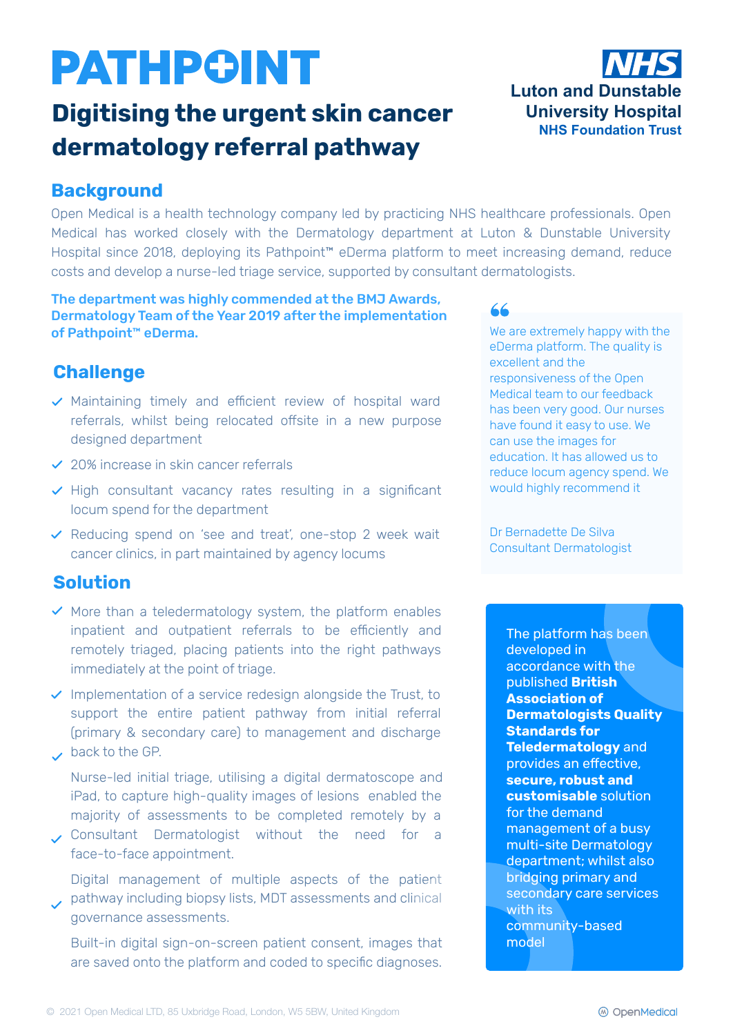# **PATHPOINT**

## **Digitising the urgent skin cancer dermatology referral pathway**



#### **Background**

Open Medical is a health technology company led by practicing NHS healthcare professionals. Open Medical has worked closely with the Dermatology department at Luton & Dunstable University Hospital since 2018, deploying its Pathpoint™ eDerma platform to meet increasing demand, reduce costs and develop a nurse-led triage service, supported by consultant dermatologists.

#### The department was highly commended at the BMJ Awards, Dermatology Team of the Year 2019 after the implementation of Pathpoint™ eDerma.

### **Challenge**

- $\vee$  Maintaining timely and efficient review of hospital ward referrals, whilst being relocated offsite in a new purpose designed department
- $\vee$  20% increase in skin cancer referrals
- $\vee$  High consultant vacancy rates resulting in a significant locum spend for the department
- $\vee$  Reducing spend on 'see and treat', one-stop 2 week wait cancer clinics, in part maintained by agency locums

#### **Solution**

- $\vee$  More than a teledermatology system, the platform enables inpatient and outpatient referrals to be efficiently and remotely triaged, placing patients into the right pathways immediately at the point of triage.
- $\vee$  Implementation of a service redesign alongside the Trust, to support the entire patient pathway from initial referral (primary & secondary care) to management and discharge back to the GP.
- 

Nurse-led initial triage, utilising a digital dermatoscope and iPad, to capture high-quality images of lesions enabled the majority of assessments to be completed remotely by a

Consultant Dermatologist without the need for a face-to-face appointment.

Digital management of multiple aspects of the patient pathway including biopsy lists, MDT assessments and clinical governance assessments.

Built-in digital sign-on-screen patient consent, images that are saved onto the platform and coded to specific diagnoses.

#### 66

We are extremely happy with the eDerma platform. The quality is excellent and the responsiveness of the Open Medical team to our feedback has been very good. Our nurses have found it easy to use. We can use the images for education. It has allowed us to reduce locum agency spend. We would highly recommend it

Dr Bernadette De Silva Consultant Dermatologist

> The platform has been developed in accordance with the published **British Association of Dermatologists Quality Standards for Teledermatology** and provides an effective, **secure, robust and customisable** solution for the demand management of a busy multi-site Dermatology department; whilst also bridging primary and secondary care services with its community-based model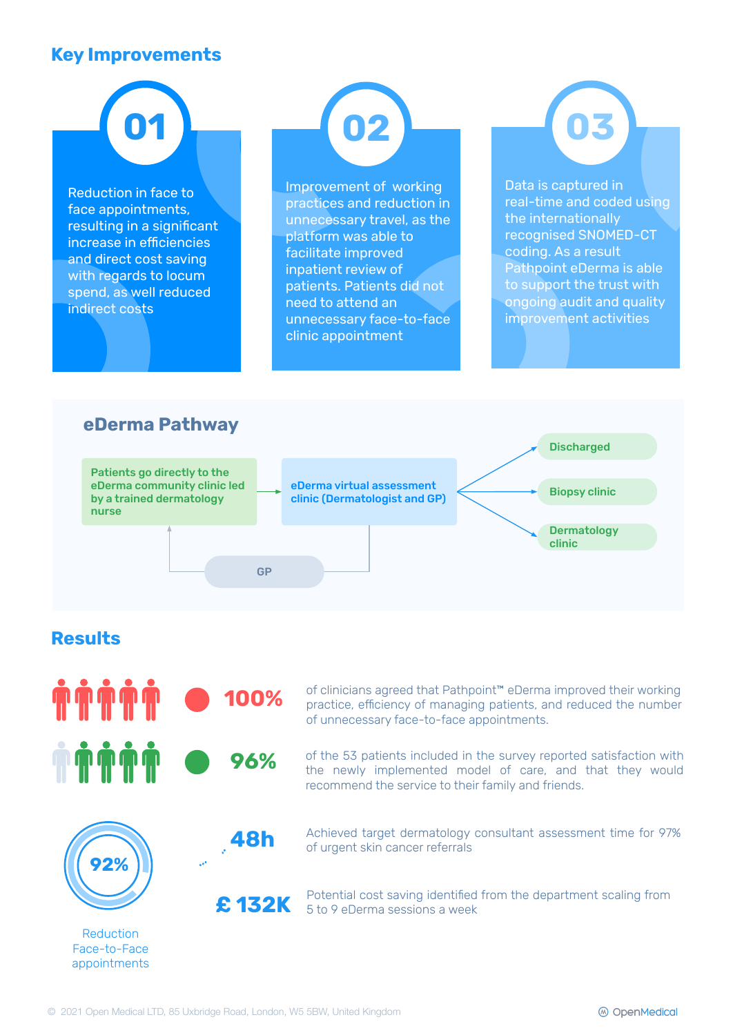#### **Key Improvements**

**01**

Reduction in face to face appointments, resulting in a significant increase in efficiencies and direct cost saving with regards to locum spend, as well reduced indirect costs

**02**

Improvement of working practices and reduction in unnecessary travel, as the platform was able to facilitate improved inpatient review of patients. Patients did not need to attend an unnecessary face-to-face clinic appointment

Data is captured in real-time and coded using the internationally recognised SNOMED-CT coding. As a result Pathpoint eDerma is able to support the trust with ongoing audit and quality improvement activities

**03**



#### **Results**



Reduction Face-to-Face appointments of clinicians agreed that Pathpoint™ eDerma improved their working practice, efficiency of managing patients, and reduced the number of unnecessary face-to-face appointments.

of the 53 patients included in the survey reported satisfaction with the newly implemented model of care, and that they would recommend the service to their family and friends.

**48h** Achieved target dermatology consultant assessment time for 97% of urgent skin cancer referrals

Potential cost saving identified from the department scaling from **£ 132K** 5 to 9 eDerma sessions a week